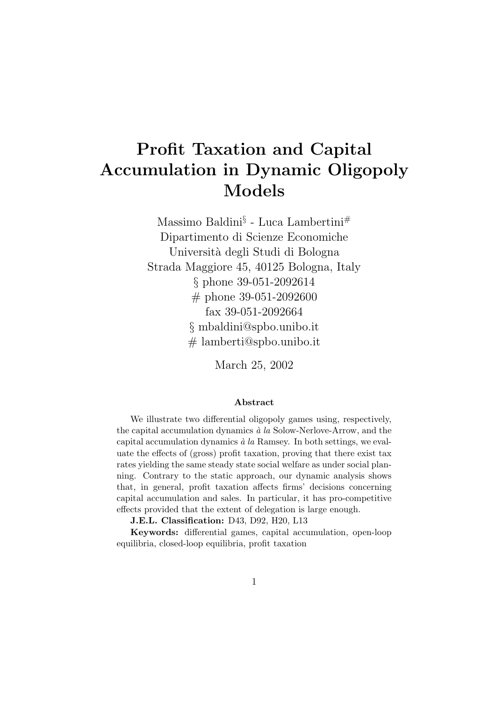# Profit Taxation and Capital Accumulation in Dynamic Oligopoly Models

Massimo Baldini§ - Luca Lambertini# Dipartimento di Scienze Economiche Universit`a degli Studi di Bologna Strada Maggiore 45, 40125 Bologna, Italy § phone 39-051-2092614 # phone 39-051-2092600 fax 39-051-2092664 § mbaldini@spbo.unibo.it # lamberti@spbo.unibo.it

March 25, 2002

#### Abstract

We illustrate two differential oligopoly games using, respectively, the capital accumulation dynamics  $\dot{a}$  la Solow-Nerlove-Arrow, and the capital accumulation dynamics  $\dot{a}$  la Ramsey. In both settings, we evaluate the effects of (gross) profit taxation, proving that there exist tax rates yielding the same steady state social welfare as under social planning. Contrary to the static approach, our dynamic analysis shows that, in general, profit taxation affects firms' decisions concerning capital accumulation and sales. In particular, it has pro-competitive effects provided that the extent of delegation is large enough.

J.E.L. Classification: D43, D92, H20, L13

Keywords: differential games, capital accumulation, open-loop equilibria, closed-loop equilibria, profit taxation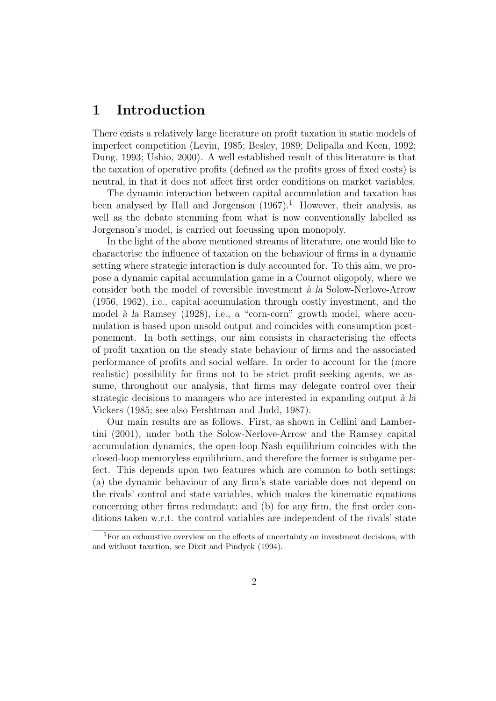### 1 Introduction

There exists a relatively large literature on profit taxation in static models of imperfect competition (Levin, 1985; Besley, 1989; Delipalla and Keen, 1992; Dung, 1993; Ushio, 2000). A well established result of this literature is that the taxation of operative profits (defined as the profits gross of fixed costs) is neutral, in that it does not affect first order conditions on market variables.

The dynamic interaction between capital accumulation and taxation has been analysed by Hall and Jorgenson  $(1967)^{1}$  However, their analysis, as well as the debate stemming from what is now conventionally labelled as Jorgenson's model, is carried out focussing upon monopoly.

In the light of the above mentioned streams of literature, one would like to characterise the influence of taxation on the behaviour of firms in a dynamic setting where strategic interaction is duly accounted for. To this aim, we propose a dynamic capital accumulation game in a Cournot oligopoly, where we consider both the model of reversible investment  $\hat{a}$  la Solow-Nerlove-Arrow (1956, 1962), i.e., capital accumulation through costly investment, and the model à la Ramsey (1928), i.e., a "corn-corn" growth model, where accumulation is based upon unsold output and coincides with consumption postponement. In both settings, our aim consists in characterising the effects of profit taxation on the steady state behaviour of firms and the associated performance of profits and social welfare. In order to account for the (more realistic) possibility for firms not to be strict profit-seeking agents, we assume, throughout our analysis, that firms may delegate control over their strategic decisions to managers who are interested in expanding output  $\dot{a}$  la Vickers (1985; see also Fershtman and Judd, 1987).

Our main results are as follows. First, as shown in Cellini and Lambertini (2001), under both the Solow-Nerlove-Arrow and the Ramsey capital accumulation dynamics, the open-loop Nash equilibrium coincides with the closed-loop memoryless equilibrium, and therefore the former is subgame perfect. This depends upon two features which are common to both settings: (a) the dynamic behaviour of any firm's state variable does not depend on the rivals' control and state variables, which makes the kinematic equations concerning other firms redundant; and (b) for any firm, the first order conditions taken w.r.t. the control variables are independent of the rivals' state

<sup>&</sup>lt;sup>1</sup>For an exhaustive overview on the effects of uncertainty on investment decisions, with and without taxation, see Dixit and Pindyck (1994).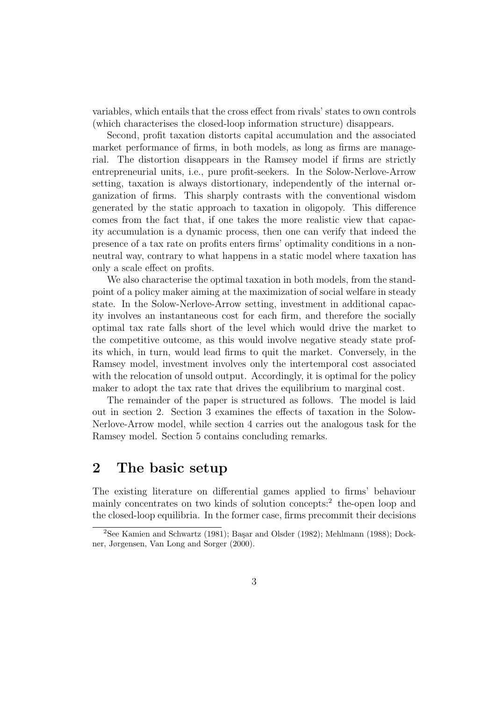variables, which entails that the cross effect from rivals' states to own controls (which characterises the closed-loop information structure) disappears.

Second, profit taxation distorts capital accumulation and the associated market performance of firms, in both models, as long as firms are managerial. The distortion disappears in the Ramsey model if firms are strictly entrepreneurial units, i.e., pure profit-seekers. In the Solow-Nerlove-Arrow setting, taxation is always distortionary, independently of the internal organization of firms. This sharply contrasts with the conventional wisdom generated by the static approach to taxation in oligopoly. This difference comes from the fact that, if one takes the more realistic view that capacity accumulation is a dynamic process, then one can verify that indeed the presence of a tax rate on profits enters firms' optimality conditions in a nonneutral way, contrary to what happens in a static model where taxation has only a scale effect on profits.

We also characterise the optimal taxation in both models, from the standpoint of a policy maker aiming at the maximization of social welfare in steady state. In the Solow-Nerlove-Arrow setting, investment in additional capacity involves an instantaneous cost for each firm, and therefore the socially optimal tax rate falls short of the level which would drive the market to the competitive outcome, as this would involve negative steady state profits which, in turn, would lead firms to quit the market. Conversely, in the Ramsey model, investment involves only the intertemporal cost associated with the relocation of unsold output. Accordingly, it is optimal for the policy maker to adopt the tax rate that drives the equilibrium to marginal cost.

The remainder of the paper is structured as follows. The model is laid out in section 2. Section 3 examines the effects of taxation in the Solow-Nerlove-Arrow model, while section 4 carries out the analogous task for the Ramsey model. Section 5 contains concluding remarks.

#### 2 The basic setup

The existing literature on differential games applied to firms' behaviour mainly concentrates on two kinds of solution concepts:<sup>2</sup> the-open loop and the closed-loop equilibria. In the former case, firms precommit their decisions

<sup>&</sup>lt;sup>2</sup>See Kamien and Schwartz (1981); Başar and Olsder (1982); Mehlmann (1988); Dockner, Jørgensen, Van Long and Sorger (2000).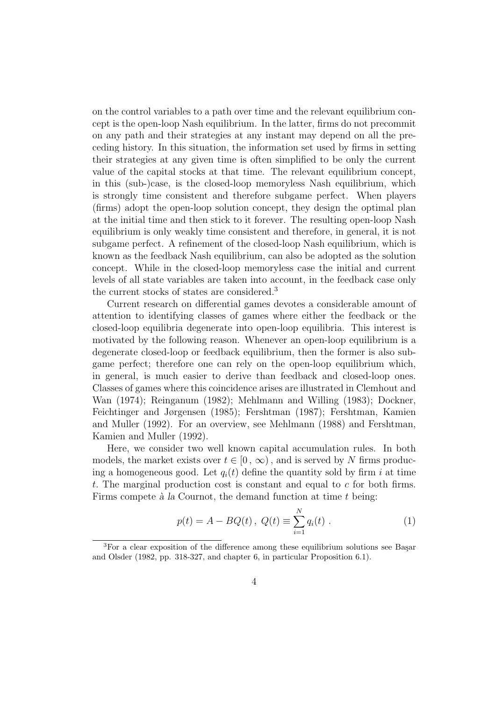on the control variables to a path over time and the relevant equilibrium concept is the open-loop Nash equilibrium. In the latter, firms do not precommit on any path and their strategies at any instant may depend on all the preceding history. In this situation, the information set used by firms in setting their strategies at any given time is often simplified to be only the current value of the capital stocks at that time. The relevant equilibrium concept, in this (sub-)case, is the closed-loop memoryless Nash equilibrium, which is strongly time consistent and therefore subgame perfect. When players (firms) adopt the open-loop solution concept, they design the optimal plan at the initial time and then stick to it forever. The resulting open-loop Nash equilibrium is only weakly time consistent and therefore, in general, it is not subgame perfect. A refinement of the closed-loop Nash equilibrium, which is known as the feedback Nash equilibrium, can also be adopted as the solution concept. While in the closed-loop memoryless case the initial and current levels of all state variables are taken into account, in the feedback case only the current stocks of states are considered.<sup>3</sup>

Current research on differential games devotes a considerable amount of attention to identifying classes of games where either the feedback or the closed-loop equilibria degenerate into open-loop equilibria. This interest is motivated by the following reason. Whenever an open-loop equilibrium is a degenerate closed-loop or feedback equilibrium, then the former is also subgame perfect; therefore one can rely on the open-loop equilibrium which, in general, is much easier to derive than feedback and closed-loop ones. Classes of games where this coincidence arises are illustrated in Clemhout and Wan (1974); Reinganum (1982); Mehlmann and Willing (1983); Dockner, Feichtinger and Jørgensen (1985); Fershtman (1987); Fershtman, Kamien and Muller (1992). For an overview, see Mehlmann (1988) and Fershtman, Kamien and Muller (1992).

Here, we consider two well known capital accumulation rules. In both models, the market exists over  $t \in [0, \infty)$ , and is served by N firms producing a homogeneous good. Let  $q_i(t)$  define the quantity sold by firm i at time t. The marginal production cost is constant and equal to c for both firms. Firms compete  $\hat{a}$  la Cournot, the demand function at time  $t$  being:

$$
p(t) = A - BQ(t), \ Q(t) \equiv \sum_{i=1}^{N} q_i(t) . \tag{1}
$$

<sup>&</sup>lt;sup>3</sup>For a clear exposition of the difference among these equilibrium solutions see Basar and Olsder (1982, pp. 318-327, and chapter 6, in particular Proposition 6.1).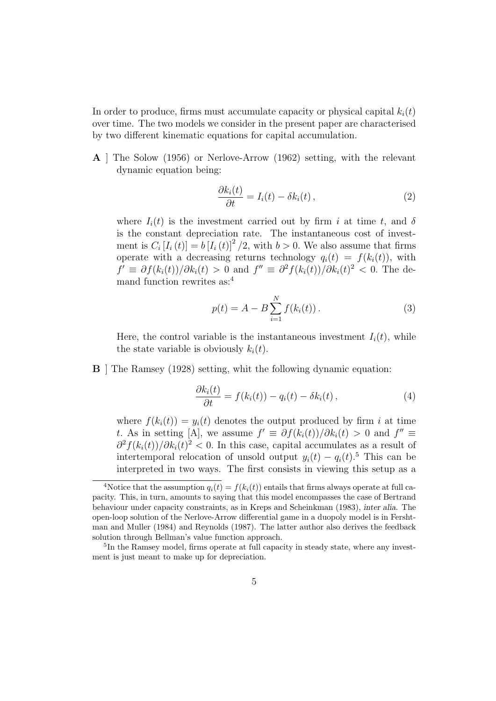In order to produce, firms must accumulate capacity or physical capital  $k_i(t)$ over time. The two models we consider in the present paper are characterised by two different kinematic equations for capital accumulation.

A ] The Solow (1956) or Nerlove-Arrow (1962) setting, with the relevant dynamic equation being:

$$
\frac{\partial k_i(t)}{\partial t} = I_i(t) - \delta k_i(t), \qquad (2)
$$

where  $I_i(t)$  is the investment carried out by firm i at time t, and  $\delta$ is the constant depreciation rate. The instantaneous cost of investment is  $C_i[I_i(t)] = b[I_i(t)]^2/2$ , with  $b > 0$ . We also assume that firms operate with a decreasing returns technology  $q_i(t) = f(k_i(t))$ , with  $f' \equiv \partial f(k_i(t))/\partial k_i(t) > 0$  and  $f'' \equiv \partial^2 f(k_i(t))/\partial k_i(t)^2 < 0$ . The demand function rewrites as:<sup>4</sup>

$$
p(t) = A - B \sum_{i=1}^{N} f(k_i(t)).
$$
 (3)

Here, the control variable is the instantaneous investment  $I_i(t)$ , while the state variable is obviously  $k_i(t)$ .

B ] The Ramsey (1928) setting, whit the following dynamic equation:

$$
\frac{\partial k_i(t)}{\partial t} = f(k_i(t)) - q_i(t) - \delta k_i(t), \qquad (4)
$$

where  $f(k_i(t)) = y_i(t)$  denotes the output produced by firm i at time t. As in setting [A], we assume  $f' \equiv \partial f(k_i(t))/\partial k_i(t) > 0$  and  $f'' \equiv$  $\partial^2 f(k_i(t))/\partial k_i(t)^2 < 0$ . In this case, capital accumulates as a result of intertemporal relocation of unsold output  $y_i(t) - q_i(t)$ .<sup>5</sup> This can be interpreted in two ways. The first consists in viewing this setup as a

<sup>&</sup>lt;sup>4</sup>Notice that the assumption  $q_i(t) = f(k_i(t))$  entails that firms always operate at full capacity. This, in turn, amounts to saying that this model encompasses the case of Bertrand behaviour under capacity constraints, as in Kreps and Scheinkman (1983), inter alia. The open-loop solution of the Nerlove-Arrow differential game in a duopoly model is in Fershtman and Muller (1984) and Reynolds (1987). The latter author also derives the feedback solution through Bellman's value function approach.

<sup>&</sup>lt;sup>5</sup>In the Ramsey model, firms operate at full capacity in steady state, where any investment is just meant to make up for depreciation.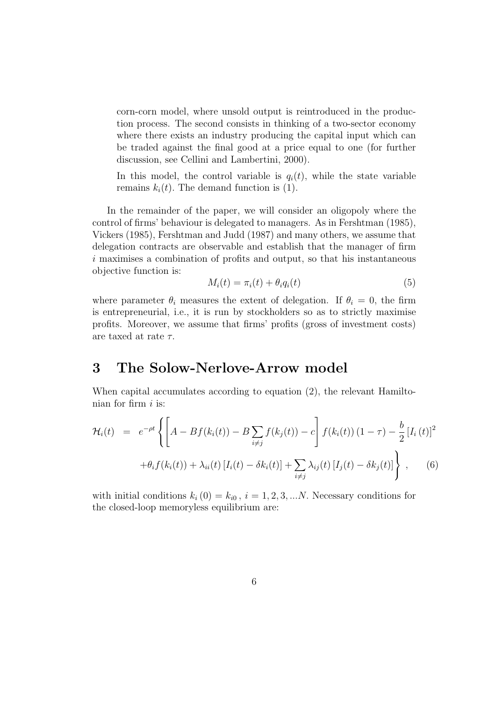corn-corn model, where unsold output is reintroduced in the production process. The second consists in thinking of a two-sector economy where there exists an industry producing the capital input which can be traded against the final good at a price equal to one (for further discussion, see Cellini and Lambertini, 2000).

In this model, the control variable is  $q_i(t)$ , while the state variable remains  $k_i(t)$ . The demand function is (1).

In the remainder of the paper, we will consider an oligopoly where the control of firms' behaviour is delegated to managers. As in Fershtman (1985), Vickers (1985), Fershtman and Judd (1987) and many others, we assume that delegation contracts are observable and establish that the manager of firm i maximises a combination of profits and output, so that his instantaneous objective function is:

$$
M_i(t) = \pi_i(t) + \theta_i q_i(t) \tag{5}
$$

where parameter  $\theta_i$  measures the extent of delegation. If  $\theta_i = 0$ , the firm is entrepreneurial, i.e., it is run by stockholders so as to strictly maximise profits. Moreover, we assume that firms' profits (gross of investment costs) are taxed at rate  $\tau$ .

### 3 The Solow-Nerlove-Arrow model

When capital accumulates according to equation (2), the relevant Hamiltonian for firm  $i$  is:

$$
\mathcal{H}_i(t) = e^{-\rho t} \left\{ \left[ A - Bf(k_i(t)) - B \sum_{i \neq j} f(k_j(t)) - c \right] f(k_i(t)) (1 - \tau) - \frac{b}{2} [I_i(t)]^2 + \theta_i f(k_i(t)) + \lambda_{ii}(t) [I_i(t) - \delta k_i(t)] + \sum_{i \neq j} \lambda_{ij}(t) [I_j(t) - \delta k_j(t)] \right\}, \quad (6)
$$

with initial conditions  $k_i(0) = k_{i0}$ ,  $i = 1, 2, 3, ...N$ . Necessary conditions for the closed-loop memoryless equilibrium are: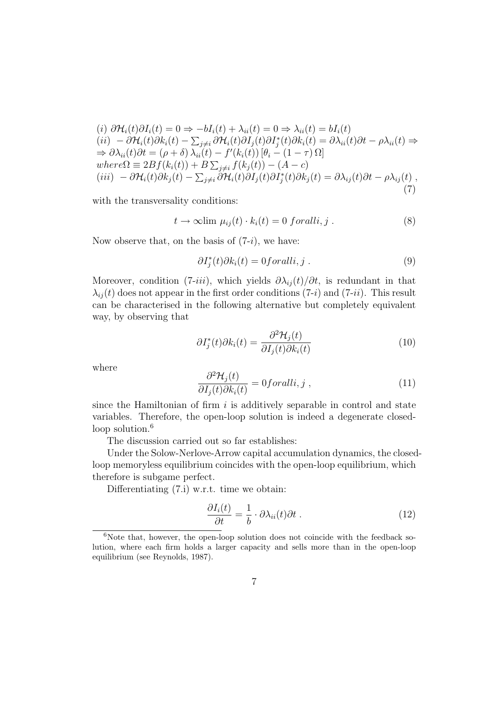$$
(i) \ \partial \mathcal{H}_i(t) \partial I_i(t) = 0 \Rightarrow -bI_i(t) + \lambda_{ii}(t) = 0 \Rightarrow \lambda_{ii}(t) = bI_i(t)
$$
  
\n
$$
(ii) \ -\partial \mathcal{H}_i(t) \partial k_i(t) - \sum_{j \neq i} \partial \mathcal{H}_i(t) \partial I_j(t) \partial I_j^*(t) \partial k_i(t) = \partial \lambda_{ii}(t) \partial t - \rho \lambda_{ii}(t) \Rightarrow
$$
  
\n
$$
\Rightarrow \partial \lambda_{ii}(t) \partial t = (\rho + \delta) \lambda_{ii}(t) - f'(k_i(t)) [\theta_i - (1 - \tau) \Omega]
$$
  
\nwhere  $\Omega \equiv 2Bf(k_i(t)) + B \sum_{j \neq i} f(k_j(t)) - (A - c)$   
\n
$$
(iii) \ -\partial \mathcal{H}_i(t) \partial k_j(t) - \sum_{j \neq i} \partial \mathcal{H}_i(t) \partial I_j^*(t) \partial k_j(t) = \partial \lambda_{ij}(t) \partial t - \rho \lambda_{ij}(t)
$$
  
\n(7)

with the transversality conditions:

$$
t \to \infty \text{lim } \mu_{ij}(t) \cdot k_i(t) = 0 \text{ for all } i, j. \tag{8}
$$

Now observe that, on the basis of  $(7-i)$ , we have:

$$
\partial I_j^*(t) \partial k_i(t) = 0 \text{for all } i, j. \tag{9}
$$

Moreover, condition (7-iii), which yields  $\partial \lambda_{ij}(t)/\partial t$ , is redundant in that  $\lambda_{ij}(t)$  does not appear in the first order conditions (7-i) and (7-ii). This result can be characterised in the following alternative but completely equivalent way, by observing that

$$
\partial I_j^*(t) \partial k_i(t) = \frac{\partial^2 \mathcal{H}_j(t)}{\partial I_j(t) \partial k_i(t)} \tag{10}
$$

where

$$
\frac{\partial^2 \mathcal{H}_j(t)}{\partial I_j(t)\partial k_i(t)} = 0 \text{for all } i, j \tag{11}
$$

since the Hamiltonian of firm  $i$  is additively separable in control and state variables. Therefore, the open-loop solution is indeed a degenerate closedloop solution.<sup>6</sup>

The discussion carried out so far establishes:

Under the Solow-Nerlove-Arrow capital accumulation dynamics, the closedloop memoryless equilibrium coincides with the open-loop equilibrium, which therefore is subgame perfect.

Differentiating (7.i) w.r.t. time we obtain:

$$
\frac{\partial I_i(t)}{\partial t} = \frac{1}{b} \cdot \partial \lambda_{ii}(t) \partial t \ . \tag{12}
$$

 $6$ Note that, however, the open-loop solution does not coincide with the feedback solution, where each firm holds a larger capacity and sells more than in the open-loop equilibrium (see Reynolds, 1987).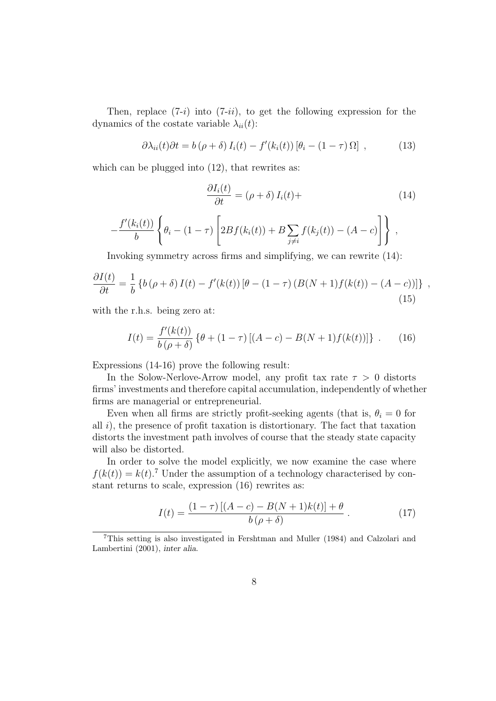Then, replace  $(7-i)$  into  $(7-i)$ , to get the following expression for the dynamics of the costate variable  $\lambda_{ii}(t)$ :

$$
\partial \lambda_{ii}(t) \partial t = b(\rho + \delta) I_i(t) - f'(k_i(t)) [\theta_i - (1 - \tau) \Omega], \qquad (13)
$$

which can be plugged into  $(12)$ , that rewrites as:

$$
\frac{\partial I_i(t)}{\partial t} = (\rho + \delta) I_i(t) +
$$
\n
$$
-\frac{f'(k_i(t))}{b} \left\{ \theta_i - (1 - \tau) \left[ 2Bf(k_i(t)) + B \sum_{j \neq i} f(k_j(t)) - (A - c) \right] \right\},
$$
\n(14)

Invoking symmetry across firms and simplifying, we can rewrite (14):

$$
\frac{\partial I(t)}{\partial t} = \frac{1}{b} \left\{ b \left( \rho + \delta \right) I(t) - f'(k(t)) \left[ \theta - (1 - \tau) \left( B(N + 1) f(k(t)) - (A - c) \right) \right] \right\} \tag{15}
$$

with the r.h.s. being zero at:

$$
I(t) = \frac{f'(k(t))}{b(\rho + \delta)} \left\{ \theta + (1 - \tau) \left[ (A - c) - B(N + 1) f(k(t)) \right] \right\}.
$$
 (16)

Expressions (14-16) prove the following result:

In the Solow-Nerlove-Arrow model, any profit tax rate  $\tau > 0$  distorts firms' investments and therefore capital accumulation, independently of whether firms are managerial or entrepreneurial.

Even when all firms are strictly profit-seeking agents (that is,  $\theta_i = 0$  for all  $i$ ), the presence of profit taxation is distortionary. The fact that taxation distorts the investment path involves of course that the steady state capacity will also be distorted.

In order to solve the model explicitly, we now examine the case where  $f(k(t)) = k(t)$ .<sup>7</sup> Under the assumption of a technology characterised by constant returns to scale, expression (16) rewrites as:

$$
I(t) = \frac{(1 - \tau) [(A - c) - B(N + 1)k(t)] + \theta}{b(\rho + \delta)}.
$$
 (17)

<sup>7</sup>This setting is also investigated in Fershtman and Muller (1984) and Calzolari and Lambertini (2001), inter alia.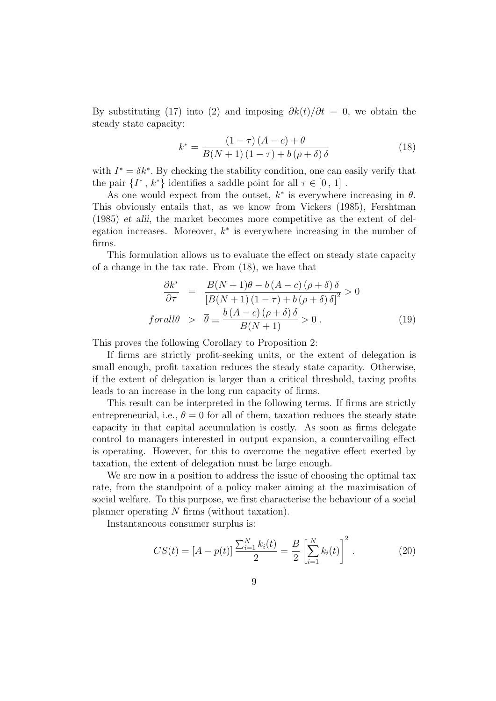By substituting (17) into (2) and imposing  $\partial k(t)/\partial t = 0$ , we obtain the steady state capacity:

$$
k^* = \frac{(1 - \tau)(A - c) + \theta}{B(N + 1)(1 - \tau) + b(\rho + \delta)\delta}
$$
 (18)

with  $I^* = \delta k^*$ . By checking the stability condition, one can easily verify that the pair  $\{I^*, k^*\}$  identifies a saddle point for all  $\tau \in [0, 1]$ .

As one would expect from the outset,  $k^*$  is everywhere increasing in  $\theta$ . This obviously entails that, as we know from Vickers (1985), Fershtman (1985) et alii, the market becomes more competitive as the extent of delegation increases. Moreover,  $k^*$  is everywhere increasing in the number of firms.

This formulation allows us to evaluate the effect on steady state capacity of a change in the tax rate. From (18), we have that

$$
\frac{\partial k^*}{\partial \tau} = \frac{B(N+1)\theta - b(A-c)(\rho + \delta)\delta}{[B(N+1)(1-\tau) + b(\rho + \delta)\delta]^2} > 0
$$
  
forall $\theta$  >  $\overline{\theta} \equiv \frac{b(A-c)(\rho + \delta)\delta}{B(N+1)} > 0$ . (19)

This proves the following Corollary to Proposition 2:

If firms are strictly profit-seeking units, or the extent of delegation is small enough, profit taxation reduces the steady state capacity. Otherwise, if the extent of delegation is larger than a critical threshold, taxing profits leads to an increase in the long run capacity of firms.

This result can be interpreted in the following terms. If firms are strictly entrepreneurial, i.e.,  $\theta = 0$  for all of them, taxation reduces the steady state capacity in that capital accumulation is costly. As soon as firms delegate control to managers interested in output expansion, a countervailing effect is operating. However, for this to overcome the negative effect exerted by taxation, the extent of delegation must be large enough.

We are now in a position to address the issue of choosing the optimal tax rate, from the standpoint of a policy maker aiming at the maximisation of social welfare. To this purpose, we first characterise the behaviour of a social planner operating N firms (without taxation).

Instantaneous consumer surplus is:

$$
CS(t) = [A - p(t)] \frac{\sum_{i=1}^{N} k_i(t)}{2} = \frac{B}{2} \left[ \sum_{i=1}^{N} k_i(t) \right]^2.
$$
 (20)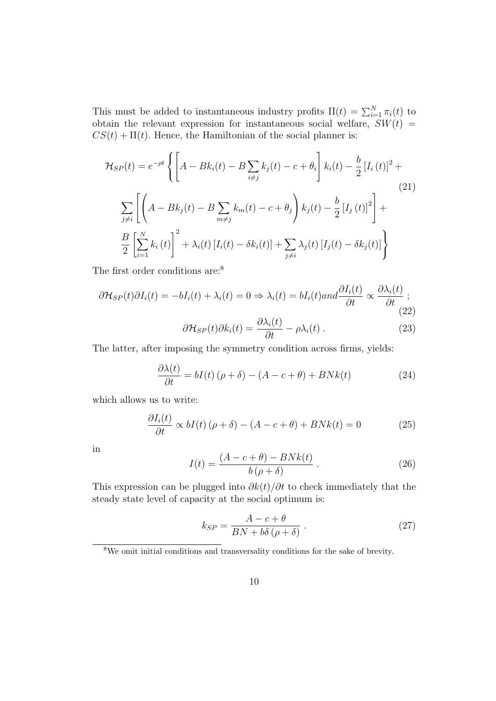This must be added to instantaneous industry profits  $\Pi(t) = \sum_{i=1}^{N} \pi_i(t)$  to obtain the relevant expression for instantaneous social welfare,  $SW(t)$  =  $CS(t) + \Pi(t)$ . Hence, the Hamiltonian of the social planner is:

$$
\mathcal{H}_{SP}(t) = e^{-\rho t} \left\{ \left[ A - Bk_i(t) - B \sum_{i \neq j} k_j(t) - c + \theta_i \right] k_i(t) - \frac{b}{2} \left[ I_i(t) \right]^2 + \sum_{j \neq i} \left[ \left( A - Bk_j(t) - B \sum_{m \neq j} k_m(t) - c + \theta_j \right) k_j(t) - \frac{b}{2} \left[ I_j(t) \right]^2 \right] + \frac{B}{2} \left[ \sum_{i=1}^N k_i(t) \right]^2 + \lambda_i(t) \left[ I_i(t) - \delta k_i(t) \right] + \sum_{j \neq i} \lambda_j(t) \left[ I_j(t) - \delta k_j(t) \right] \right\}
$$
\n(21)

The first order conditions are:<sup>8</sup>

$$
\partial \mathcal{H}_{SP}(t)\partial I_i(t) = -bI_i(t) + \lambda_i(t) = 0 \Rightarrow \lambda_i(t) = bI_i(t) \text{ and } \frac{\partial I_i(t)}{\partial t} \propto \frac{\partial \lambda_i(t)}{\partial t};
$$
\n
$$
\partial \mathcal{H}_{SP}(t)\partial I_i(t) = \frac{\partial \lambda_i(t)}{\partial t} \propto \frac{\partial \lambda_i(t)}{\partial t}.
$$
\n(22)

$$
\partial \mathcal{H}_{SP}(t) \partial k_i(t) = \frac{\partial \lambda_i(t)}{\partial t} - \rho \lambda_i(t) . \qquad (23)
$$

The latter, after imposing the symmetry condition across firms, yields:

$$
\frac{\partial \lambda(t)}{\partial t} = bI(t) \left( \rho + \delta \right) - \left( A - c + \theta \right) + B N k(t) \tag{24}
$$

which allows us to write:

$$
\frac{\partial I_i(t)}{\partial t} \propto bI(t) \left(\rho + \delta\right) - \left(A - c + \theta\right) + B N k(t) = 0 \tag{25}
$$

in

$$
I(t) = \frac{(A - c + \theta) - BNk(t)}{b(\rho + \delta)}.
$$
\n(26)

This expression can be plugged into  $\partial k(t)/\partial t$  to check immediately that the steady state level of capacity at the social optimum is:

$$
k_{SP} = \frac{A - c + \theta}{BN + b\delta\left(\rho + \delta\right)}\,. \tag{27}
$$

<sup>&</sup>lt;sup>8</sup>We omit initial conditions and transversality conditions for the sake of brevity.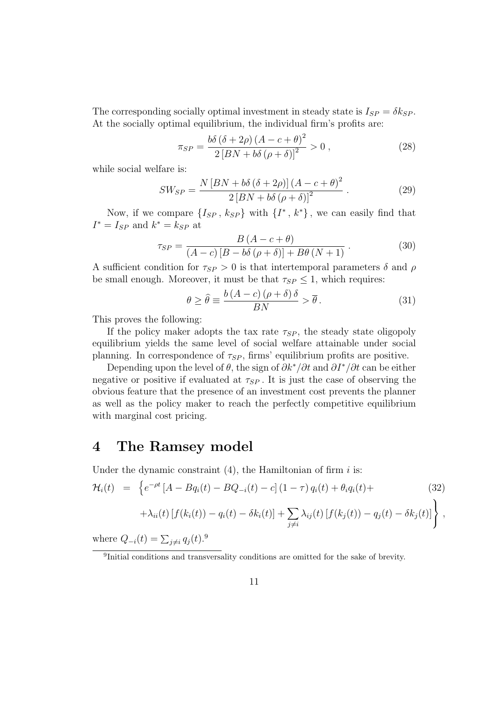The corresponding socially optimal investment in steady state is  $I_{SP} = \delta k_{SP}$ . At the socially optimal equilibrium, the individual firm's profits are:

$$
\pi_{SP} = \frac{b\delta \left(\delta + 2\rho\right) \left(A - c + \theta\right)^2}{2 \left[BN + b\delta \left(\rho + \delta\right)\right]^2} > 0 ,\qquad (28)
$$

while social welfare is:

$$
SW_{SP} = \frac{N\left[BN + b\delta\left(\delta + 2\rho\right)\right]\left(A - c + \theta\right)^2}{2\left[BN + b\delta\left(\rho + \delta\right)\right]^2} \,. \tag{29}
$$

Now, if we compare  $\{I_{SP}, k_{SP}\}\$  with  $\{I^*, k^*\}\$ , we can easily find that  $I^* = I_{SP}$  and  $k^* = k_{SP}$  at

$$
\tau_{SP} = \frac{B\left(A - c + \theta\right)}{\left(A - c\right)\left[B - b\delta\left(\rho + \delta\right)\right] + B\theta\left(N + 1\right)}\,. \tag{30}
$$

A sufficient condition for  $\tau_{SP} > 0$  is that intertemporal parameters  $\delta$  and  $\rho$ be small enough. Moreover, it must be that  $\tau_{SP} \leq 1$ , which requires:

$$
\theta \ge \hat{\theta} \equiv \frac{b(A-c)(\rho+\delta)\delta}{BN} > \overline{\theta}.
$$
 (31)

This proves the following:

If the policy maker adopts the tax rate  $\tau_{SP}$ , the steady state oligopoly equilibrium yields the same level of social welfare attainable under social planning. In correspondence of  $\tau_{SP}$ , firms' equilibrium profits are positive.

Depending upon the level of  $\theta$ , the sign of  $\partial k^*/\partial t$  and  $\partial I^*/\partial t$  can be either negative or positive if evaluated at  $\tau_{SP}$ . It is just the case of observing the obvious feature that the presence of an investment cost prevents the planner as well as the policy maker to reach the perfectly competitive equilibrium with marginal cost pricing.

#### 4 The Ramsey model

Under the dynamic constraint  $(4)$ , the Hamiltonian of firm i is:

$$
\mathcal{H}_{i}(t) = \left\{ e^{-\rho t} \left[ A - B q_{i}(t) - B Q_{-i}(t) - c \right] (1 - \tau) q_{i}(t) + \theta_{i} q_{i}(t) + \right. \\ \left. + \lambda_{ii}(t) \left[ f(k_{i}(t)) - q_{i}(t) - \delta k_{i}(t) \right] + \sum_{j \neq i} \lambda_{ij}(t) \left[ f(k_{j}(t)) - q_{j}(t) - \delta k_{j}(t) \right] \right\},
$$
\n(c) 
$$
\sum_{i} \left( \sum_{j} \delta_{ij} q_{i}(t) \right) \left[ f(k_{i}(t)) - \sum_{j} \left( \sum_{j} \delta_{ij} q_{i}(t) \right) \right] + \sum_{j} \lambda_{ij}(t) \left[ f(k_{j}(t)) - \sum_{j} \left( \sum_{j} \delta_{ij} q_{i}(t) \right) \right] + \sum_{j} \lambda_{ij}(t) \left[ f(k_{j}(t)) - \sum_{j} \delta_{ij} q_{i}(t) \right] + \sum_{j} \lambda_{ij}(t) \left[ f(k_{j}(t)) - \sum_{j} \delta_{ij} q_{i}(t) \right] + \sum_{j} \lambda_{ij}(t) \left[ f(k_{j}(t)) - \sum_{j} \delta_{ij} q_{i}(t) \right] + \sum_{j} \lambda_{ij}(t) \left[ f(k_{j}(t)) - \sum_{j} \delta_{ij} q_{i}(t) \right] + \sum_{j} \lambda_{ij}(t) \left[ f(k_{j}(t)) - \sum_{j} \delta_{ij} q_{i}(t) \right] + \sum_{j} \lambda_{ij}(t) \left[ f(k_{j}(t)) - \sum_{j} \delta_{ij} q_{i}(t) \right] + \sum_{j} \lambda_{ij}(t) \left[ f(k_{j}(t)) - \sum_{j} \delta_{ij} q_{i}(t) \right] + \sum_{j} \lambda_{ij}(t) \left[ f(k_{j}(t)) - \sum_{j} \delta_{ij} q_{i}(t) \right] + \sum_{j} \lambda_{ij}(t) \left[ f(k_{j}(t)) - \sum_{j} \delta_{ij} q_{i}(t) \right] + \sum_{j} \lambda_{ij}(t) \left[ f(k_{j}(t)) - \sum_{j} \delta_{ij} q_{i}(t) \right] + \sum_{j} \lambda_{ij}(t) \left[ f(k_{j}(t)) - \sum_{j}
$$

where  $Q_{-i}(t) = \sum_{j \neq i} q_j(t)$ .<sup>9</sup>

<sup>&</sup>lt;sup>9</sup>Initial conditions and transversality conditions are omitted for the sake of brevity.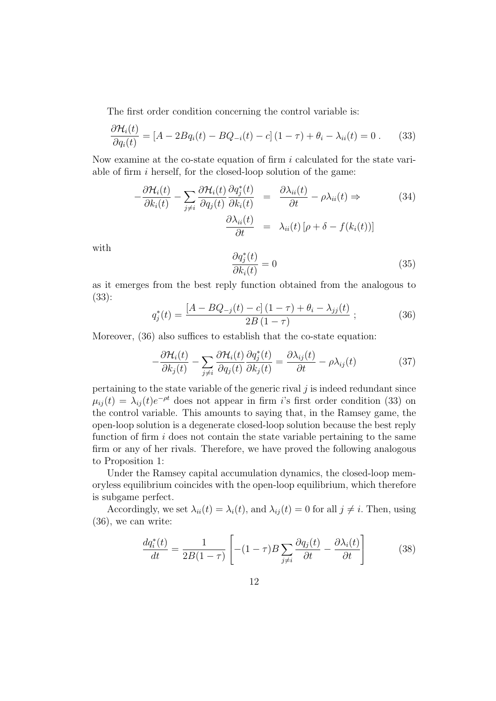The first order condition concerning the control variable is:

$$
\frac{\partial \mathcal{H}_i(t)}{\partial q_i(t)} = [A - 2Bq_i(t) - BQ_{-i}(t) - c](1 - \tau) + \theta_i - \lambda_{ii}(t) = 0. \tag{33}
$$

Now examine at the co-state equation of firm  $i$  calculated for the state variable of firm  $i$  herself, for the closed-loop solution of the game:

$$
-\frac{\partial \mathcal{H}_i(t)}{\partial k_i(t)} - \sum_{j \neq i} \frac{\partial \mathcal{H}_i(t)}{\partial q_j(t)} \frac{\partial q_j^*(t)}{\partial k_i(t)} = \frac{\partial \lambda_{ii}(t)}{\partial t} - \rho \lambda_{ii}(t) \Rightarrow \qquad (34)
$$

$$
\frac{\partial \lambda_{ii}(t)}{\partial t} = \lambda_{ii}(t) \left[ \rho + \delta - f(k_i(t)) \right]
$$

with

$$
\frac{\partial q_j^*(t)}{\partial k_i(t)} = 0\tag{35}
$$

as it emerges from the best reply function obtained from the analogous to (33):

$$
q_j^*(t) = \frac{[A - BQ_{-j}(t) - c](1 - \tau) + \theta_i - \lambda_{jj}(t)}{2B(1 - \tau)}; \tag{36}
$$

Moreover,  $(36)$  also suffices to establish that the co-state equation:

$$
-\frac{\partial \mathcal{H}_i(t)}{\partial k_j(t)} - \sum_{j \neq i} \frac{\partial \mathcal{H}_i(t)}{\partial q_j(t)} \frac{\partial q_j^*(t)}{\partial k_j(t)} = \frac{\partial \lambda_{ij}(t)}{\partial t} - \rho \lambda_{ij}(t) \tag{37}
$$

pertaining to the state variable of the generic rival  $j$  is indeed redundant since  $\mu_{ij}(t) = \lambda_{ij}(t)e^{-\rho t}$  does not appear in firm i's first order condition (33) on the control variable. This amounts to saying that, in the Ramsey game, the open-loop solution is a degenerate closed-loop solution because the best reply function of firm  $i$  does not contain the state variable pertaining to the same firm or any of her rivals. Therefore, we have proved the following analogous to Proposition 1:

Under the Ramsey capital accumulation dynamics, the closed-loop memoryless equilibrium coincides with the open-loop equilibrium, which therefore is subgame perfect.

Accordingly, we set  $\lambda_{ii}(t) = \lambda_i(t)$ , and  $\lambda_{ii}(t) = 0$  for all  $j \neq i$ . Then, using (36), we can write:

$$
\frac{dq_i^*(t)}{dt} = \frac{1}{2B(1-\tau)} \left[ -(1-\tau)B \sum_{j \neq i} \frac{\partial q_j(t)}{\partial t} - \frac{\partial \lambda_i(t)}{\partial t} \right] \tag{38}
$$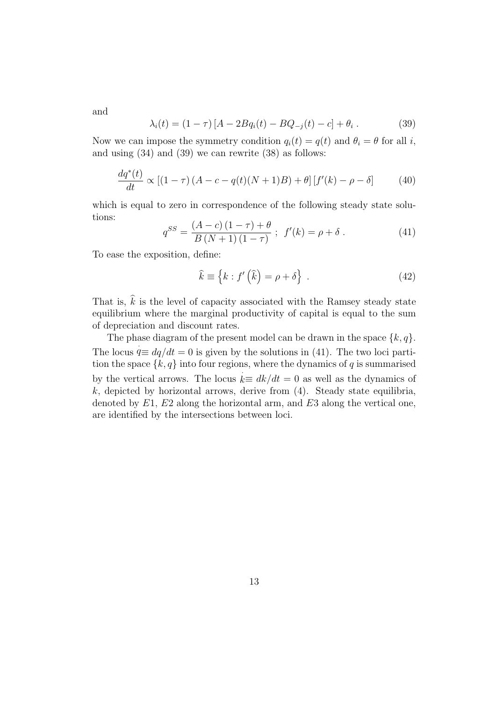and

$$
\lambda_i(t) = (1 - \tau) [A - 2Bq_i(t) - BQ_{-j}(t) - c] + \theta_i.
$$
 (39)

Now we can impose the symmetry condition  $q_i(t) = q(t)$  and  $\theta_i = \theta$  for all i, and using (34) and (39) we can rewrite (38) as follows:

$$
\frac{dq^*(t)}{dt} \propto \left[ (1-\tau) \left( A - c - q(t)(N+1)B \right) + \theta \right] \left[ f'(k) - \rho - \delta \right] \tag{40}
$$

which is equal to zero in correspondence of the following steady state solutions:

$$
q^{SS} = \frac{(A - c)(1 - \tau) + \theta}{B(N + 1)(1 - \tau)}; \ f'(k) = \rho + \delta.
$$
 (41)

To ease the exposition, define:

$$
\hat{k} \equiv \left\{ k : f' \left( \hat{k} \right) = \rho + \delta \right\} \,. \tag{42}
$$

That is,  $\hat{k}$  is the level of capacity associated with the Ramsey steady state equilibrium where the marginal productivity of capital is equal to the sum of depreciation and discount rates.

The phase diagram of the present model can be drawn in the space  $\{k, q\}$ . The locus  $q \equiv dq/dt = 0$  is given by the solutions in (41). The two loci partition the space  $\{k, q\}$  into four regions, where the dynamics of q is summarised by the vertical arrows. The locus  $k \equiv dk/dt = 0$  as well as the dynamics of  $k$ , depicted by horizontal arrows, derive from  $(4)$ . Steady state equilibria, denoted by  $E1, E2$  along the horizontal arm, and  $E3$  along the vertical one, are identified by the intersections between loci.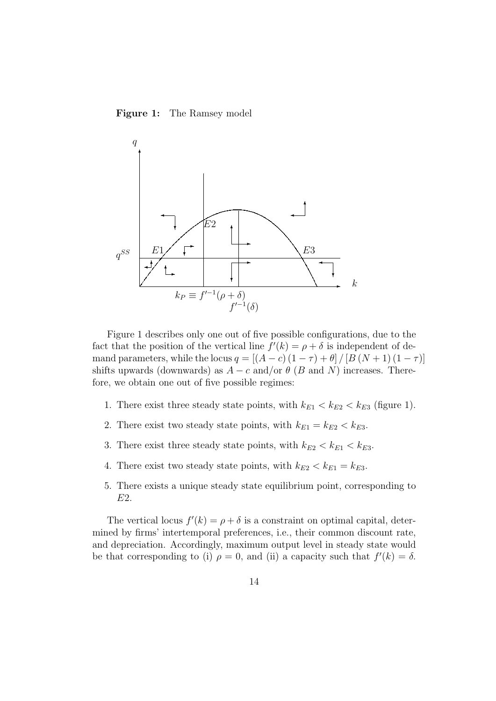Figure 1: The Ramsey model



Figure 1 describes only one out of five possible configurations, due to the fact that the position of the vertical line  $f'(k) = \rho + \delta$  is independent of demand parameters, while the locus  $q = \left[\left(A-c\right)\left(1-\tau\right) + \theta\right] / \left[B\left(N+1\right)\left(1-\tau\right)\right]$ shifts upwards (downwards) as  $A - c$  and/or  $\theta$  (B and N) increases. Therefore, we obtain one out of five possible regimes:

- 1. There exist three steady state points, with  $k_{E1} < k_{E2} < k_{E3}$  (figure 1).
- 2. There exist two steady state points, with  $k_{E1} = k_{E2} < k_{E3}$ .
- 3. There exist three steady state points, with  $k_{E2} < k_{E1} < k_{E3}$ .
- 4. There exist two steady state points, with  $k_{E2} < k_{E1} = k_{E3}$ .
- 5. There exists a unique steady state equilibrium point, corresponding to E2.

The vertical locus  $f'(k) = \rho + \delta$  is a constraint on optimal capital, determined by firms' intertemporal preferences, i.e., their common discount rate, and depreciation. Accordingly, maximum output level in steady state would be that corresponding to (i)  $\rho = 0$ , and (ii) a capacity such that  $f'(k) = \delta$ .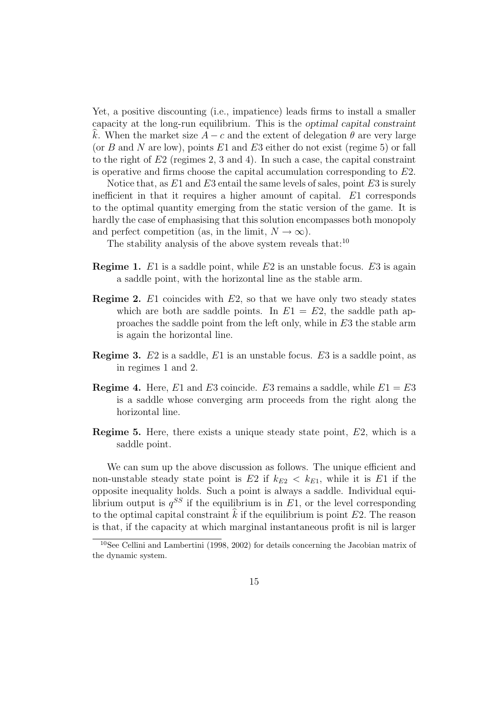Yet, a positive discounting (i.e., impatience) leads firms to install a smaller capacity at the long-run equilibrium. This is the optimal capital constraint k. When the market size  $A - c$  and the extent of delegation  $\theta$  are very large (or B and N are low), points  $E1$  and  $E3$  either do not exist (regime 5) or fall to the right of  $E2$  (regimes 2, 3 and 4). In such a case, the capital constraint is operative and firms choose the capital accumulation corresponding to E2.

Notice that, as  $E1$  and  $E3$  entail the same levels of sales, point  $E3$  is surely inefficient in that it requires a higher amount of capital. E1 corresponds to the optimal quantity emerging from the static version of the game. It is hardly the case of emphasising that this solution encompasses both monopoly and perfect competition (as, in the limit,  $N \to \infty$ ).

The stability analysis of the above system reveals that:<sup>10</sup>

- **Regime 1.** E1 is a saddle point, while E2 is an unstable focus. E3 is again a saddle point, with the horizontal line as the stable arm.
- **Regime 2.** E1 coincides with  $E2$ , so that we have only two steady states which are both are saddle points. In  $E1 = E2$ , the saddle path approaches the saddle point from the left only, while in E3 the stable arm is again the horizontal line.
- **Regime 3.**  $E2$  is a saddle,  $E1$  is an unstable focus.  $E3$  is a saddle point, as in regimes 1 and 2.
- **Regime 4.** Here, E1 and E3 coincide. E3 remains a saddle, while  $E1 = E3$ is a saddle whose converging arm proceeds from the right along the horizontal line.
- **Regime 5.** Here, there exists a unique steady state point,  $E2$ , which is a saddle point.

We can sum up the above discussion as follows. The unique efficient and non-unstable steady state point is E2 if  $k_{E2} < k_{E1}$ , while it is E1 if the opposite inequality holds. Such a point is always a saddle. Individual equilibrium output is  $q^{SS}$  if the equilibrium is in  $E1$ , or the level corresponding to the optimal capital constraint  $\hat{k}$  if the equilibrium is point E2. The reason is that, if the capacity at which marginal instantaneous profit is nil is larger

<sup>10</sup>See Cellini and Lambertini (1998, 2002) for details concerning the Jacobian matrix of the dynamic system.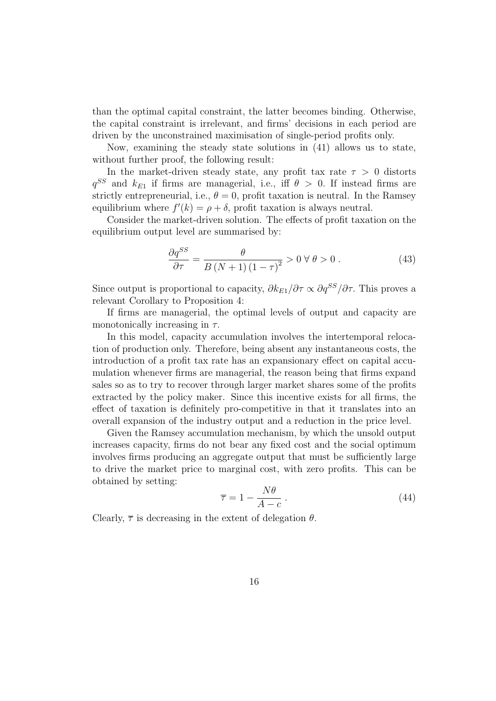than the optimal capital constraint, the latter becomes binding. Otherwise, the capital constraint is irrelevant, and firms' decisions in each period are driven by the unconstrained maximisation of single-period profits only.

Now, examining the steady state solutions in (41) allows us to state, without further proof, the following result:

In the market-driven steady state, any profit tax rate  $\tau > 0$  distorts  $q^{SS}$  and  $k_{E1}$  if firms are managerial, i.e., iff  $\theta > 0$ . If instead firms are strictly entrepreneurial, i.e.,  $\theta = 0$ , profit taxation is neutral. In the Ramsey equilibrium where  $f'(k) = \rho + \delta$ , profit taxation is always neutral.

Consider the market-driven solution. The effects of profit taxation on the equilibrium output level are summarised by:

$$
\frac{\partial q^{SS}}{\partial \tau} = \frac{\theta}{B\left(N+1\right)\left(1-\tau\right)^2} > 0 \,\forall \,\theta > 0\,. \tag{43}
$$

Since output is proportional to capacity,  $\partial k_{E_1}/\partial \tau \propto \partial q^{SS}/\partial \tau$ . This proves a relevant Corollary to Proposition 4:

If firms are managerial, the optimal levels of output and capacity are monotonically increasing in  $\tau$ .

In this model, capacity accumulation involves the intertemporal relocation of production only. Therefore, being absent any instantaneous costs, the introduction of a profit tax rate has an expansionary effect on capital accumulation whenever firms are managerial, the reason being that firms expand sales so as to try to recover through larger market shares some of the profits extracted by the policy maker. Since this incentive exists for all firms, the effect of taxation is definitely pro-competitive in that it translates into an overall expansion of the industry output and a reduction in the price level.

Given the Ramsey accumulation mechanism, by which the unsold output increases capacity, firms do not bear any fixed cost and the social optimum involves firms producing an aggregate output that must be sufficiently large to drive the market price to marginal cost, with zero profits. This can be obtained by setting:

$$
\overline{\tau} = 1 - \frac{N\theta}{A - c} \,. \tag{44}
$$

Clearly,  $\bar{\tau}$  is decreasing in the extent of delegation  $\theta$ .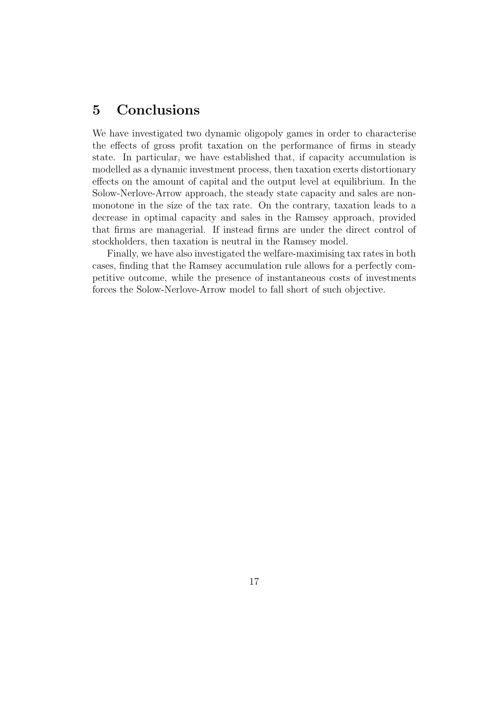## 5 Conclusions

We have investigated two dynamic oligopoly games in order to characterise the effects of gross profit taxation on the performance of firms in steady state. In particular, we have established that, if capacity accumulation is modelled as a dynamic investment process, then taxation exerts distortionary effects on the amount of capital and the output level at equilibrium. In the Solow-Nerlove-Arrow approach, the steady state capacity and sales are nonmonotone in the size of the tax rate. On the contrary, taxation leads to a decrease in optimal capacity and sales in the Ramsey approach, provided that firms are managerial. If instead firms are under the direct control of stockholders, then taxation is neutral in the Ramsey model.

Finally, we have also investigated the welfare-maximising tax rates in both cases, finding that the Ramsey accumulation rule allows for a perfectly competitive outcome, while the presence of instantaneous costs of investments forces the Solow-Nerlove-Arrow model to fall short of such objective.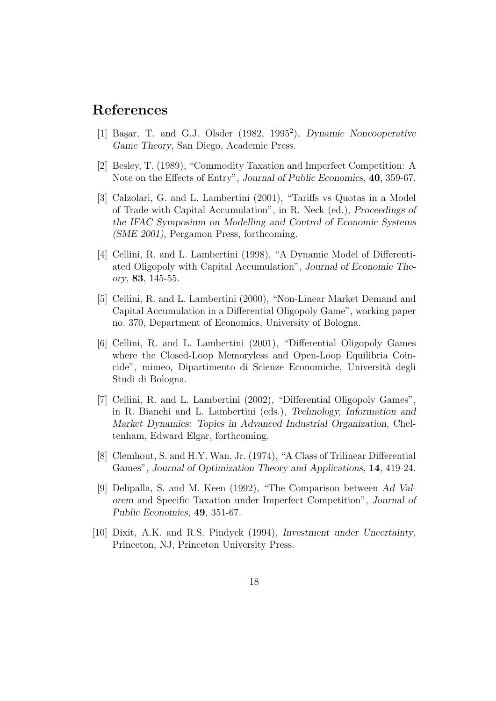#### References

- [1] Başar, T. and G.J. Olsder (1982, 1995<sup>2</sup>), Dynamic Noncooperative Game Theory, San Diego, Academic Press.
- [2] Besley, T. (1989), "Commodity Taxation and Imperfect Competition: A Note on the Effects of Entry", Journal of Public Economics, 40, 359-67.
- [3] Calzolari, G. and L. Lambertini (2001), "Tariffs vs Quotas in a Model of Trade with Capital Accumulation", in R. Neck (ed.), Proceedings of the IFAC Symposium on Modelling and Control of Economic Systems (SME 2001), Pergamon Press, forthcoming.
- [4] Cellini, R. and L. Lambertini (1998), "A Dynamic Model of Differentiated Oligopoly with Capital Accumulation", Journal of Economic Theory, 83, 145-55.
- [5] Cellini, R. and L. Lambertini (2000), "Non-Linear Market Demand and Capital Accumulation in a Differential Oligopoly Game", working paper no. 370, Department of Economics, University of Bologna.
- [6] Cellini, R. and L. Lambertini (2001), "Differential Oligopoly Games where the Closed-Loop Memoryless and Open-Loop Equilibria Coincide", mimeo, Dipartimento di Scienze Economiche, Universit`a degli Studi di Bologna.
- [7] Cellini, R. and L. Lambertini (2002), "Differential Oligopoly Games", in R. Bianchi and L. Lambertini (eds.), Technology, Information and Market Dynamics: Topics in Advanced Industrial Organization, Cheltenham, Edward Elgar, forthcoming.
- [8] Clemhout, S. and H.Y. Wan, Jr. (1974), "A Class of Trilinear Differential Games", Journal of Optimization Theory and Applications, 14, 419-24.
- [9] Delipalla, S. and M. Keen (1992), "The Comparison between Ad Valorem and Specific Taxation under Imperfect Competition", Journal of Public Economics, 49, 351-67.
- [10] Dixit, A.K. and R.S. Pindyck (1994), Investment under Uncertainty, Princeton, NJ, Princeton University Press.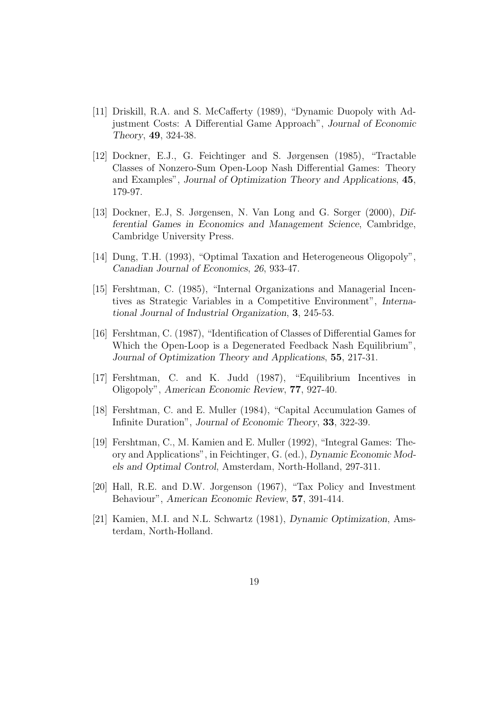- [11] Driskill, R.A. and S. McCafferty (1989), "Dynamic Duopoly with Adjustment Costs: A Differential Game Approach", Journal of Economic Theory, 49, 324-38.
- [12] Dockner, E.J., G. Feichtinger and S. Jørgensen (1985), "Tractable Classes of Nonzero-Sum Open-Loop Nash Differential Games: Theory and Examples", Journal of Optimization Theory and Applications, 45, 179-97.
- [13] Dockner, E.J, S. Jørgensen, N. Van Long and G. Sorger (2000), Differential Games in Economics and Management Science, Cambridge, Cambridge University Press.
- [14] Dung, T.H. (1993), "Optimal Taxation and Heterogeneous Oligopoly", Canadian Journal of Economics, 26, 933-47.
- [15] Fershtman, C. (1985), "Internal Organizations and Managerial Incentives as Strategic Variables in a Competitive Environment", International Journal of Industrial Organization, 3, 245-53.
- [16] Fershtman, C. (1987), "Identification of Classes of Differential Games for Which the Open-Loop is a Degenerated Feedback Nash Equilibrium", Journal of Optimization Theory and Applications, 55, 217-31.
- [17] Fershtman, C. and K. Judd (1987), "Equilibrium Incentives in Oligopoly", American Economic Review, 77, 927-40.
- [18] Fershtman, C. and E. Muller (1984), "Capital Accumulation Games of Infinite Duration", Journal of Economic Theory, 33, 322-39.
- [19] Fershtman, C., M. Kamien and E. Muller (1992), "Integral Games: Theory and Applications", in Feichtinger, G. (ed.), Dynamic Economic Models and Optimal Control, Amsterdam, North-Holland, 297-311.
- [20] Hall, R.E. and D.W. Jorgenson (1967), "Tax Policy and Investment Behaviour", American Economic Review, 57, 391-414.
- [21] Kamien, M.I. and N.L. Schwartz (1981), Dynamic Optimization, Amsterdam, North-Holland.